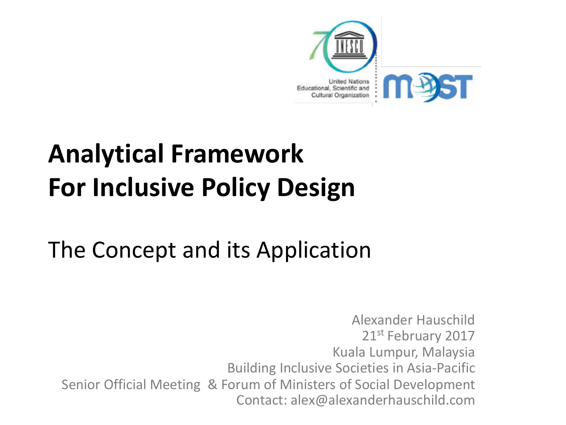

## **Analytical Framework For Inclusive Policy Design**

## The Concept and its Application

Alexander Hauschild 21st February 2017 Kuala Lumpur, Malaysia **Building Inclusive Societies in Asia-Pacific** Senior Official Meeting & Forum of Ministers of Social Development Contact: alex@alexanderhauschild.com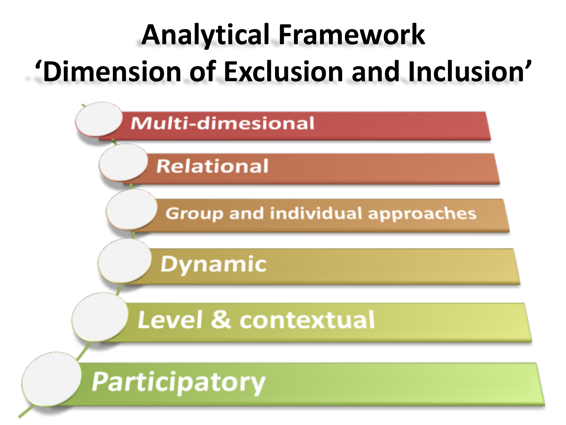# **Analytical Framework 'Dimension of Exclusion and Inclusion'**

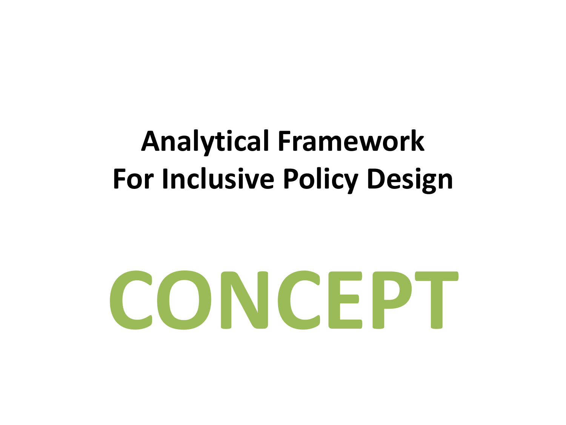## **Analytical Framework For Inclusive Policy Design**

# **CONCEPT**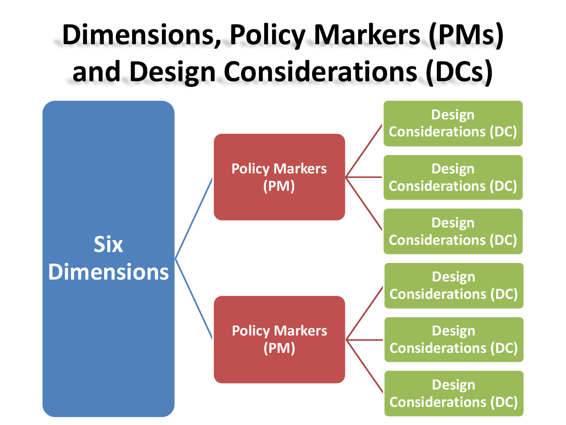# **Dimensions, Policy Markers (PMs) and Design Considerations (DCs)**

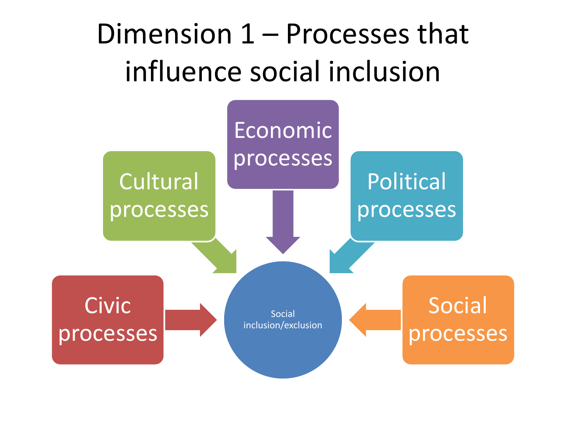## Dimension  $1$  – Processes that influence social inclusion

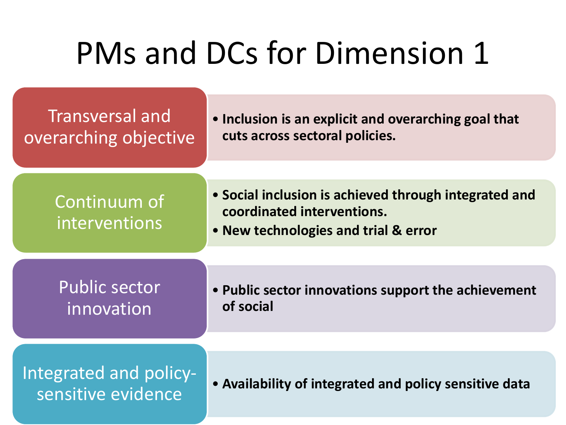| Transversal and<br>overarching objective     | • Inclusion is an explicit and overarching goal that<br>cuts across sectoral policies.                                      |  |
|----------------------------------------------|-----------------------------------------------------------------------------------------------------------------------------|--|
|                                              |                                                                                                                             |  |
| Continuum of<br>interventions                | • Social inclusion is achieved through integrated and<br>coordinated interventions.<br>• New technologies and trial & error |  |
|                                              |                                                                                                                             |  |
| <b>Public sector</b><br>innovation           | • Public sector innovations support the achievement<br>of social                                                            |  |
|                                              |                                                                                                                             |  |
| Integrated and policy-<br>sensitive evidence | • Availability of integrated and policy sensitive data                                                                      |  |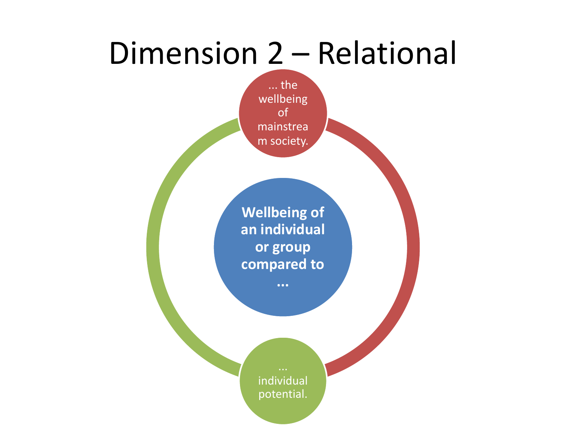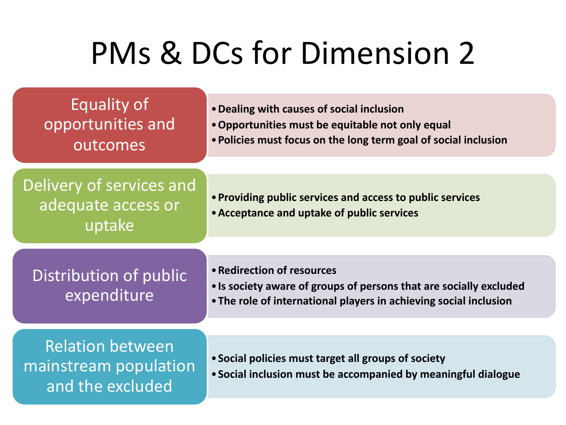| Equality of<br>opportunities and<br>outcomes                         | • Dealing with causes of social inclusion<br>• Opportunities must be equitable not only equal<br>• Policies must focus on the long term goal of social inclusion      |  |
|----------------------------------------------------------------------|-----------------------------------------------------------------------------------------------------------------------------------------------------------------------|--|
|                                                                      |                                                                                                                                                                       |  |
| Delivery of services and<br>adequate access or<br>uptake             | • Providing public services and access to public services<br>• Acceptance and uptake of public services                                                               |  |
|                                                                      |                                                                                                                                                                       |  |
| Distribution of public<br>expenditure                                | • Redirection of resources<br>• Is society aware of groups of persons that are socially excluded<br>• The role of international players in achieving social inclusion |  |
|                                                                      |                                                                                                                                                                       |  |
| <b>Relation between</b><br>mainstream population<br>and the excluded | • Social policies must target all groups of society<br>. Social inclusion must be accompanied by meaningful dialogue                                                  |  |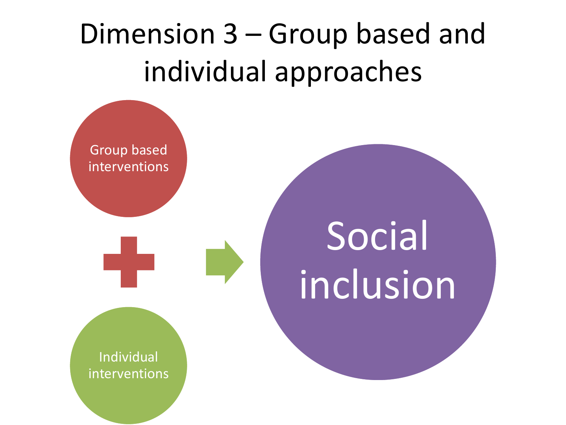## Dimension  $3 -$  Group based and individual approaches

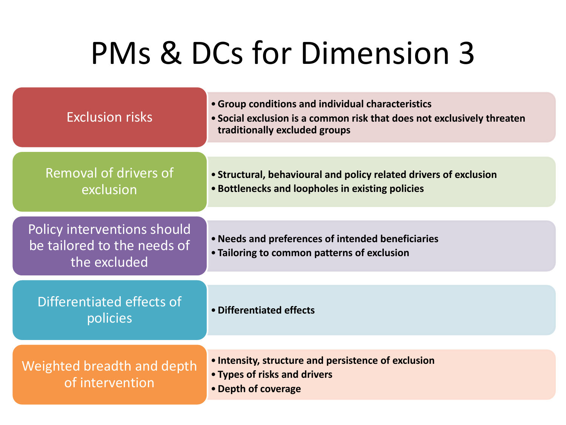| <b>Exclusion risks</b>                                                     | • Group conditions and individual characteristics<br>• Social exclusion is a common risk that does not exclusively threaten<br>traditionally excluded groups |
|----------------------------------------------------------------------------|--------------------------------------------------------------------------------------------------------------------------------------------------------------|
| Removal of drivers of<br>exclusion                                         | • Structural, behavioural and policy related drivers of exclusion<br>. Bottlenecks and loopholes in existing policies                                        |
| Policy interventions should<br>be tailored to the needs of<br>the excluded | • Needs and preferences of intended beneficiaries<br>• Tailoring to common patterns of exclusion                                                             |
| Differentiated effects of<br>policies                                      | • Differentiated effects                                                                                                                                     |
| Weighted breadth and depth<br>of intervention                              | • Intensity, structure and persistence of exclusion<br>• Types of risks and drivers<br>• Depth of coverage                                                   |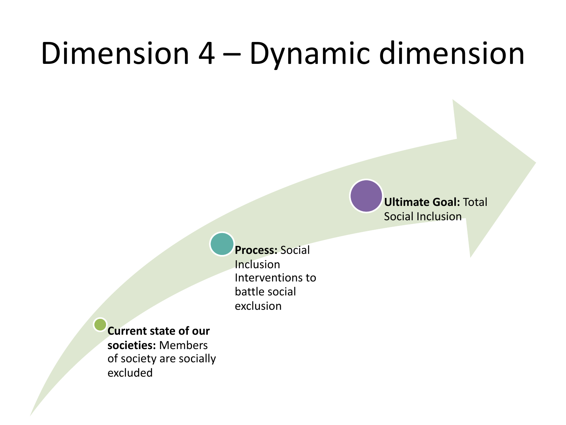## Dimension 4 – Dynamic dimension

**Ultimate Goal: Total** Social Inclusion

**Process: Social** Inclusion Interventions to battle social exclusion

**Current state of our societies:** Members of society are socially excluded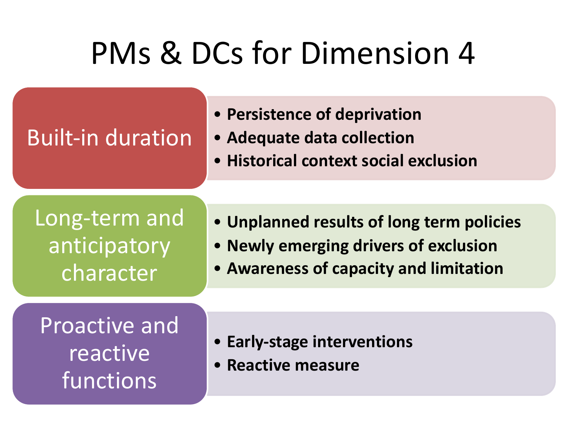## Built-in duration

- **Persistence of deprivation**
- **Adequate data collection**
- **Historical context social exclusion**

Long-term and anticipatory character

- **Unplanned results of long term policies**
- **Newly emerging drivers of exclusion**
- **Awareness of capacity and limitation**

Proactive and reactive functions

- **Early-stage interventions**
- **Reactive measure**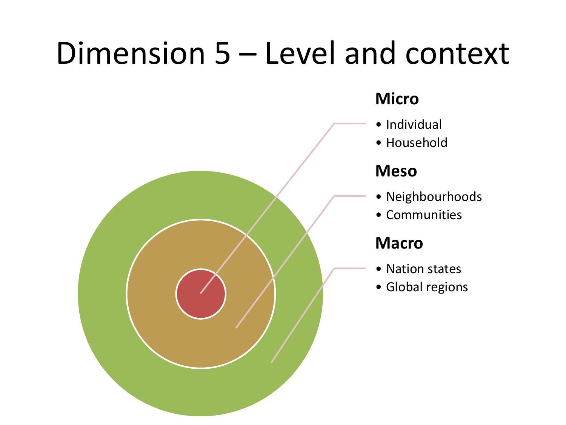## Dimension 5 – Level and context

#### **Micro**

- Individual
- Household

#### **Meso**

- Neighbourhoods
- Communities

#### **Macro**

- Nation states
- Global regions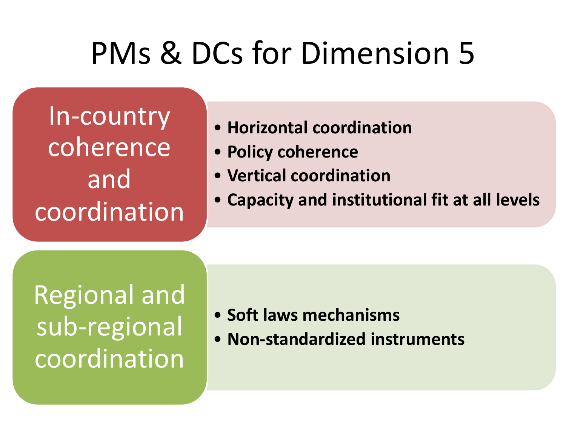In-country coherence and **coordination** 

- **Horizontal coordination**
- **Policy coherence**
- **Vertical coordination**
- Capacity and institutional fit at all levels

Regional and sub-regional coordination

- **Soft laws mechanisms**
- **Non-standardized instruments**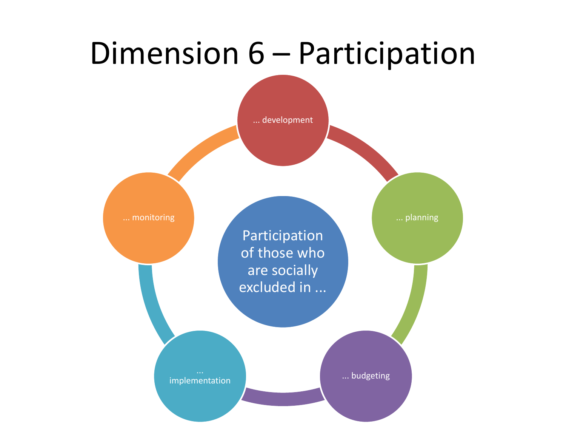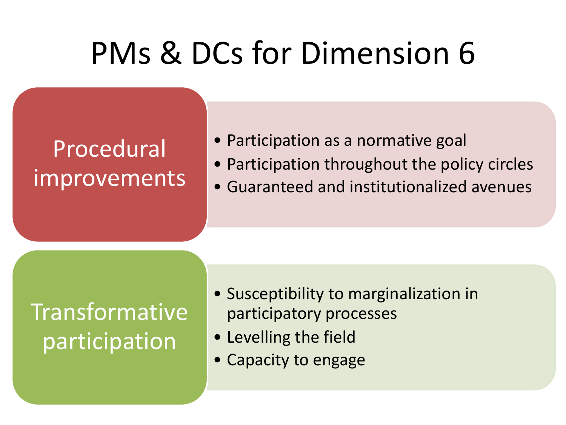## Procedural improvements

- Participation as a normative goal
- Participation throughout the policy circles
- Guaranteed and institutionalized avenues

## Transformative participation

- Susceptibility to marginalization in participatory processes
- Levelling the field
- Capacity to engage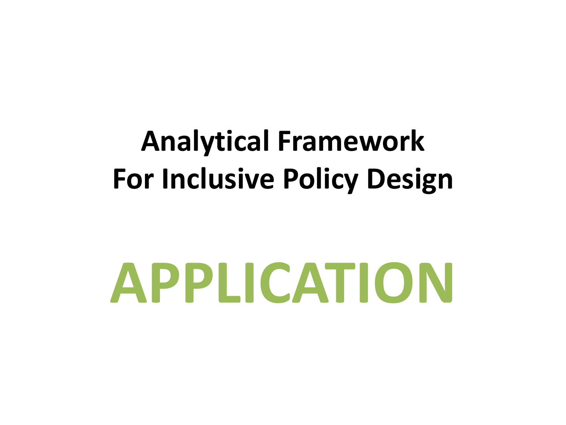## **Analytical Framework For Inclusive Policy Design**

# **APPLICATION**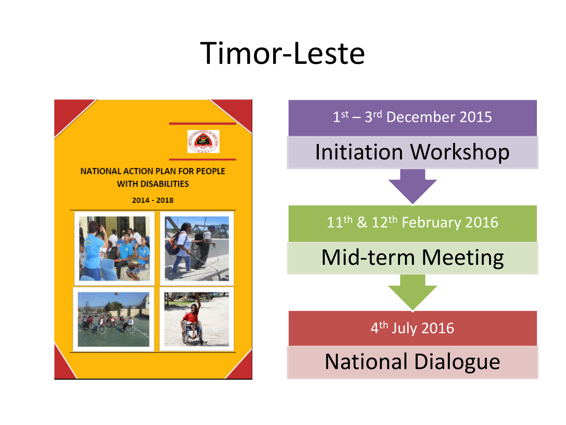## Timor-Leste



1st – 3rd December 2015

Initiation Workshop

 $11$ <sup>th</sup> & 12<sup>th</sup> February 2016

Mid-term Meeting

4<sup>th</sup> July 2016

**National Dialogue**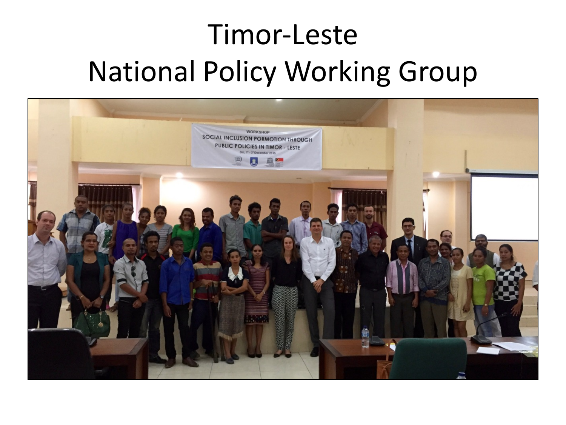## Timor-Leste **National Policy Working Group**

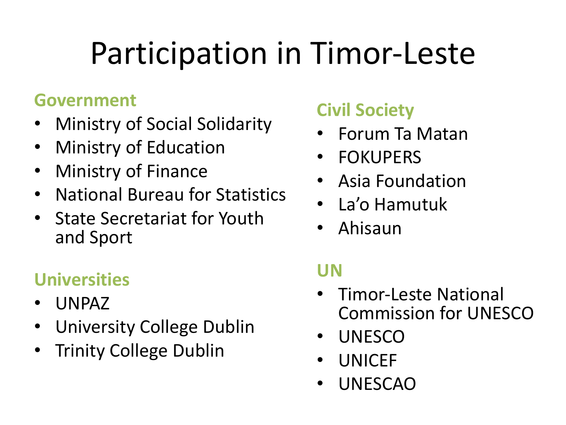# Participation in Timor-Leste

### **Government**

- **Ministry of Social Solidarity**
- **Ministry of Education**
- **Ministry of Finance**
- National Bureau for Statistics
- State Secretariat for Youth and Sport

### **Universities**

- UNPAZ
- University College Dublin
- **Trinity College Dublin**

## **Civil Society**

- Forum Ta Matan
- **FOKUPERS**
- **Asia Foundation**
- La'o Hamutuk
- Ahisaun

## **UN**

- Timor-Leste National **Commission for UNESCO**
- UNESCO
- UNICEF
- UNESCAO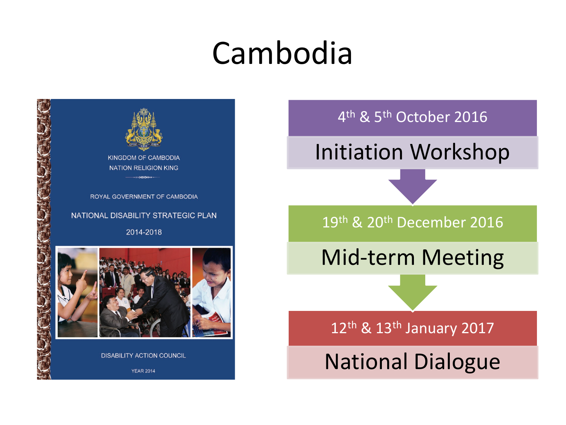# Cambodia



4<sup>th</sup> & 5<sup>th</sup> October 2016

Initiation Workshop

19th & 20th December 2016

Mid-term Meeting

12<sup>th</sup> & 13<sup>th</sup> January 2017

**National Dialogue**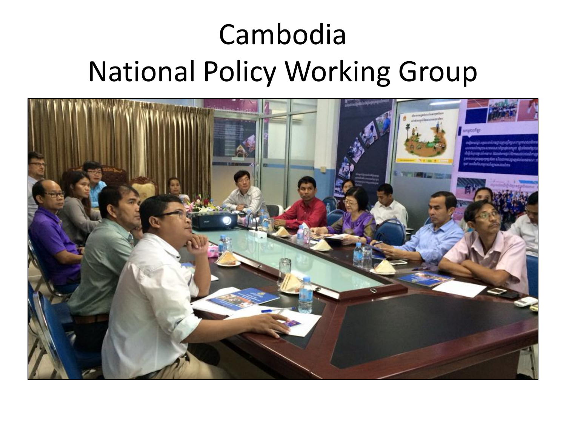## Cambodia **National Policy Working Group**

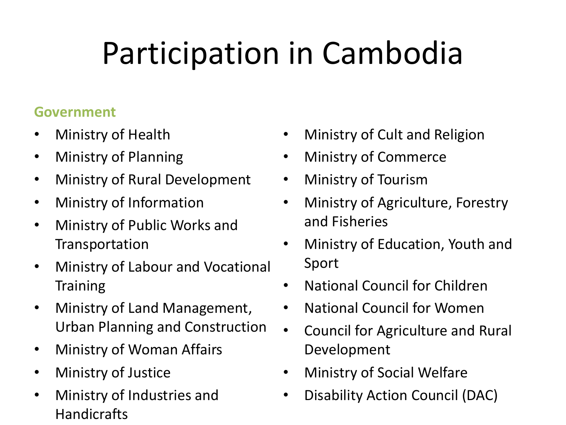# Participation in Cambodia

#### **Government**

- Ministry of Health
- Ministry of Planning
- Ministry of Rural Development
- Ministry of Information
- Ministry of Public Works and Transportation
- Ministry of Labour and Vocational **Training**
- Ministry of Land Management, Urban Planning and Construction
- Ministry of Woman Affairs
- Ministry of Justice
- Ministry of Industries and Handicrafts
- Ministry of Cult and Religion
- Ministry of Commerce
- Ministry of Tourism
- Ministry of Agriculture, Forestry and Fisheries
- Ministry of Education, Youth and Sport
- National Council for Children
- National Council for Women
- Council for Agriculture and Rural Development
- Ministry of Social Welfare
- Disability Action Council (DAC)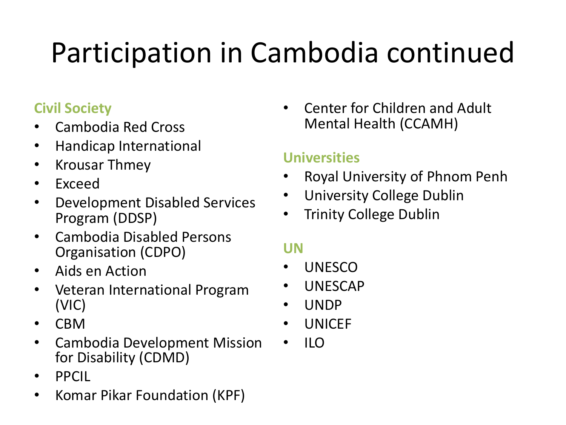# Participation in Cambodia continued

#### **Civil Society**

- Cambodia Red Cross
- Handicap International
- Krousar Thmey
- Exceed
- Development Disabled Services Program (DDSP)
- Cambodia Disabled Persons Organisation (CDPO)
- Aids en Action
- Veteran International Program (VIC)
- CBM
- Cambodia Development Mission for Disability (CDMD)
- PPCIL
- Komar Pikar Foundation (KPF)

• Center for Children and Adult Mental Health (CCAMH)

#### **Universities**

- Royal University of Phnom Penh
- University College Dublin
- Trinity College Dublin

#### **UN**

- UNESCO
- UNESCAP
- UNDP
- UNICEF
- ILO